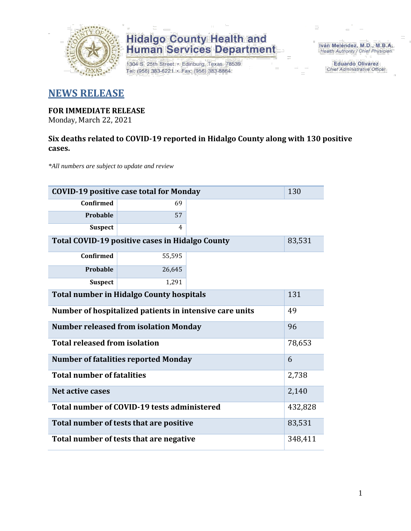

## **Hidalgo County Health and<br>Human Services Department**

1304 S. 25th Street · Edinburg, Texas 78539 Tel: (956) 383-6221 · Fax: (956) 383-8864

Iván Meléndez, M.D., M.B.A. Health Authority / Chief Physician

> **Eduardo Olivarez** Chief Administrative Officer

### **NEWS RELEASE**

### **FOR IMMEDIATE RELEASE**

Monday, March 22, 2021

#### **Six deaths related to COVID-19 reported in Hidalgo County along with 130 positive cases.**

*\*All numbers are subject to update and review*

| <b>COVID-19 positive case total for Monday</b><br>130   |        |  |  |  |
|---------------------------------------------------------|--------|--|--|--|
| <b>Confirmed</b>                                        | 69     |  |  |  |
| Probable                                                | 57     |  |  |  |
| <b>Suspect</b>                                          | 4      |  |  |  |
| Total COVID-19 positive cases in Hidalgo County         | 83,531 |  |  |  |
| <b>Confirmed</b>                                        | 55,595 |  |  |  |
| Probable                                                | 26,645 |  |  |  |
| <b>Suspect</b>                                          | 1,291  |  |  |  |
| <b>Total number in Hidalgo County hospitals</b>         | 131    |  |  |  |
| Number of hospitalized patients in intensive care units | 49     |  |  |  |
| <b>Number released from isolation Monday</b>            |        |  |  |  |
| <b>Total released from isolation</b>                    | 78,653 |  |  |  |
| <b>Number of fatalities reported Monday</b>             | 6      |  |  |  |
| <b>Total number of fatalities</b>                       |        |  |  |  |
| <b>Net active cases</b>                                 | 2,140  |  |  |  |
| Total number of COVID-19 tests administered             |        |  |  |  |
| Total number of tests that are positive                 | 83,531 |  |  |  |
| Total number of tests that are negative                 |        |  |  |  |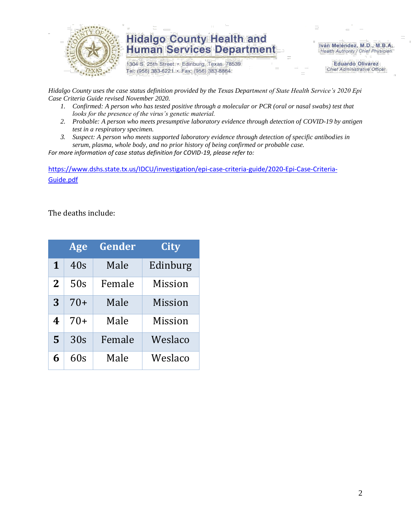

## **Hidalgo County Health and Human Services Department**

1304 S. 25th Street · Edinburg, Texas 78539 Tel: (956) 383-6221 · Fax: (956) 383-8864

Iván Meléndez, M.D., M.B.A. Health Authority / Chief Physician

> **Eduardo Olivarez Chief Administrative Officer**

*Hidalgo County uses the case status definition provided by the Texas Department of State Health Service's 2020 Epi Case Criteria Guide revised November 2020.*

- *1. Confirmed: A person who has tested positive through a molecular or PCR (oral or nasal swabs) test that looks for the presence of the virus's genetic material.*
- *2. Probable: A person who meets presumptive laboratory evidence through detection of COVID-19 by antigen test in a respiratory specimen.*
- *3. Suspect: A person who meets supported laboratory evidence through detection of specific antibodies in serum, plasma, whole body, and no prior history of being confirmed or probable case.*

*For more information of case status definition for COVID-19, please refer to:*

[https://www.dshs.state.tx.us/IDCU/investigation/epi-case-criteria-guide/2020-Epi-Case-Criteria-](https://www.dshs.state.tx.us/IDCU/investigation/epi-case-criteria-guide/2020-Epi-Case-Criteria-Guide.pdf)[Guide.pdf](https://www.dshs.state.tx.us/IDCU/investigation/epi-case-criteria-guide/2020-Epi-Case-Criteria-Guide.pdf)

The deaths include:

|          | Age   | Gender | City     |
|----------|-------|--------|----------|
| 1        | 40s   | Male   | Edinburg |
| $\bf{2}$ | 50s   | Female | Mission  |
| 3        | $70+$ | Male   | Mission  |
| 4        | $70+$ | Male   | Mission  |
| 5        | 30s   | Female | Weslaco  |
| 6        | 60s   | Male   | Weslaco  |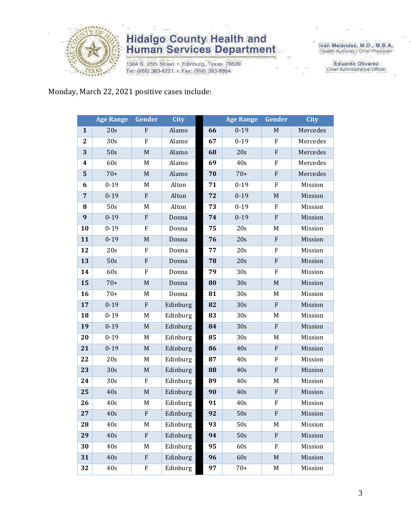

## **Hidalgo County Health and<br>Human Services Department**

1304 S. 25th Street · Edinburg, Texas 78539 Tel: (956) 383-6221 · Fax: (956) 383-8864

Iván Meléndez, M.D., M.B.A.<br>Health Authority / Chief Physician

**Eduardo Olivarez** Chief Administrative Officer

### Monday, March 22, 2021 positive cases include:

|                | <b>Age Range</b> | Gender      | <b>City</b> |    | <b>Age Range</b> | Gender                    | <b>City</b> |
|----------------|------------------|-------------|-------------|----|------------------|---------------------------|-------------|
| $\mathbf{1}$   | 20s              | ${\bf F}$   | Alamo       | 66 | $0 - 19$         | $\mathbf M$               | Mercedes    |
| $\mathbf{2}$   | 30 <sub>s</sub>  | ${\bf F}$   | Alamo       | 67 | $0 - 19$         | ${\bf F}$                 | Mercedes    |
| 3              | 50s              | $\mathbf M$ | Alamo       | 68 | 20s              | ${\bf F}$                 | Mercedes    |
| 4              | 60s              | M           | Alamo       | 69 | 40s              | $\rm F$                   | Mercedes    |
| 5              | $70+$            | $\mathbf M$ | Alamo       | 70 | $70+$            | ${\bf F}$                 | Mercedes    |
| 6              | $0 - 19$         | M           | Alton       | 71 | $0 - 19$         | ${\bf F}$                 | Mission     |
| $\overline{7}$ | $0 - 19$         | ${\bf F}$   | Alton       | 72 | $0 - 19$         | $\mathbf M$               | Mission     |
| 8              | 50s              | M           | Alton       | 73 | $0-19$           | $\rm F$                   | Mission     |
| 9              | $0 - 19$         | ${\bf F}$   | Donna       | 74 | $0 - 19$         | $\rm F$                   | Mission     |
| 10             | $0 - 19$         | F           | Donna       | 75 | 20s              | M                         | Mission     |
| 11             | $0 - 19$         | $\mathbf M$ | Donna       | 76 | 20s              | ${\bf F}$                 | Mission     |
| 12             | 20s              | F           | Donna       | 77 | 20s              | ${\bf F}$                 | Mission     |
| 13             | 50s              | ${\bf F}$   | Donna       | 78 | 20s              | ${\bf F}$                 | Mission     |
| 14             | 60s              | F           | Donna       | 79 | 30s              | F                         | Mission     |
| 15             | $70+$            | $\mathbf M$ | Donna       | 80 | 30s              | $\mathbf M$               | Mission     |
| 16             | $70+$            | M           | Donna       | 81 | 30s              | M                         | Mission     |
| 17             | $0 - 19$         | ${\bf F}$   | Edinburg    | 82 | 30s              | ${\bf F}$                 | Mission     |
| 18             | $0 - 19$         | M           | Edinburg    | 83 | 30s              | M                         | Mission     |
| 19             | $0 - 19$         | $\mathbf M$ | Edinburg    | 84 | 30s              | ${\bf F}$                 | Mission     |
| 20             | $0 - 19$         | M           | Edinburg    | 85 | 30s              | M                         | Mission     |
| 21             | $0 - 19$         | $\mathbf M$ | Edinburg    | 86 | 40s              | $\rm F$                   | Mission     |
| 22             | 20s              | M           | Edinburg    | 87 | 40s              | $\rm F$                   | Mission     |
| 23             | 30s              | $\mathbf M$ | Edinburg    | 88 | 40s              | ${\bf F}$                 | Mission     |
| 24             | 30s              | F           | Edinburg    | 89 | 40s              | M                         | Mission     |
| 25             | 40s              | $\mathbf M$ | Edinburg    | 90 | 40s              | ${\bf F}$                 | Mission     |
| 26             | 40s              | M           | Edinburg    | 91 | 40s              | $\boldsymbol{\mathrm{F}}$ | Mission     |
| 27             | 40s              | F           | Edinburg    | 92 | 50s              | F                         | Mission     |
| 28             | 40s              | M           | Edinburg    | 93 | 50s              | M                         | Mission     |
| 29             | 40s              | $\rm F$     | Edinburg    | 94 | 50s              | ${\bf F}$                 | Mission     |
| 30             | 40s              | M           | Edinburg    | 95 | 60s              | F                         | Mission     |
| 31             | 40s              | ${\bf F}$   | Edinburg    | 96 | 60s              | $\mathbf M$               | Mission     |
| 32             | 40s              | ${\bf F}$   | Edinburg    | 97 | $70+$            | M                         | Mission     |